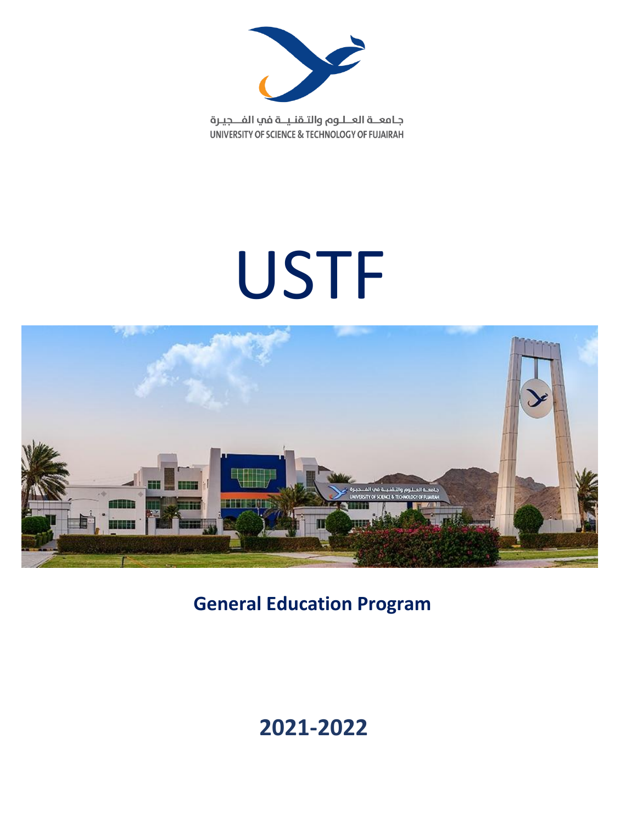

جامعــة العــلـوم والتـقنـيــة في الفـــجيـرة UNIVERSITY OF SCIENCE & TECHNOLOGY OF FUJAIRAH

# USTF



**General Education Program**

## **2021-2022**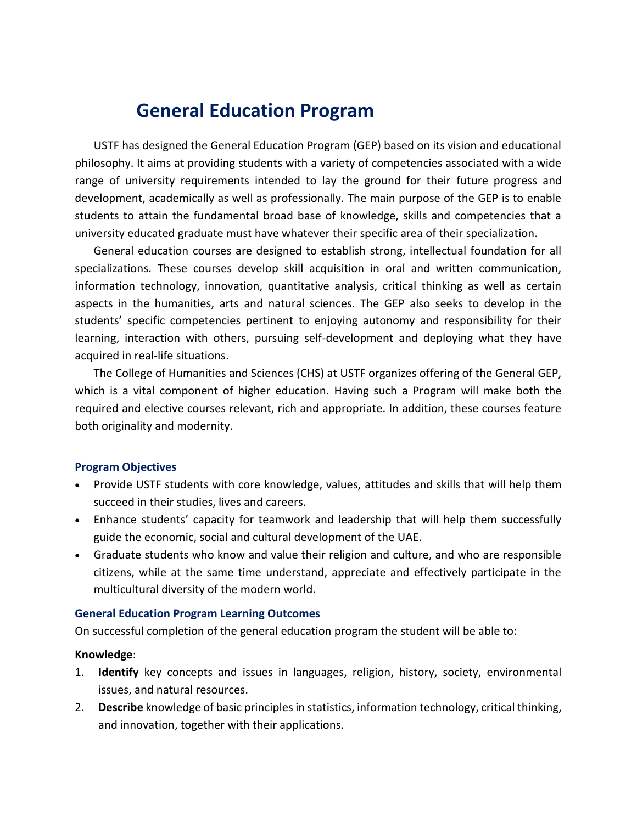### **General Education Program**

USTF has designed the General Education Program (GEP) based on its vision and educational philosophy. It aims at providing students with a variety of competencies associated with a wide range of university requirements intended to lay the ground for their future progress and development, academically as well as professionally. The main purpose of the GEP is to enable students to attain the fundamental broad base of knowledge, skills and competencies that a university educated graduate must have whatever their specific area of their specialization.

General education courses are designed to establish strong, intellectual foundation for all specializations. These courses develop skill acquisition in oral and written communication, information technology, innovation, quantitative analysis, critical thinking as well as certain aspects in the humanities, arts and natural sciences. The GEP also seeks to develop in the students' specific competencies pertinent to enjoying autonomy and responsibility for their learning, interaction with others, pursuing self-development and deploying what they have acquired in real-life situations.

The College of Humanities and Sciences (CHS) at USTF organizes offering of the General GEP, which is a vital component of higher education. Having such a Program will make both the required and elective courses relevant, rich and appropriate. In addition, these courses feature both originality and modernity.

#### **Program Objectives**

- Provide USTF students with core knowledge, values, attitudes and skills that will help them succeed in their studies, lives and careers.
- Enhance students' capacity for teamwork and leadership that will help them successfully guide the economic, social and cultural development of the UAE.
- Graduate students who know and value their religion and culture, and who are responsible citizens, while at the same time understand, appreciate and effectively participate in the multicultural diversity of the modern world.

#### **General Education Program Learning Outcomes**

On successful completion of the general education program the student will be able to:

#### **Knowledge**:

- 1. **Identify** key concepts and issues in languages, religion, history, society, environmental issues, and natural resources.
- 2. **Describe** knowledge of basic principles in statistics, information technology, critical thinking, and innovation, together with their applications.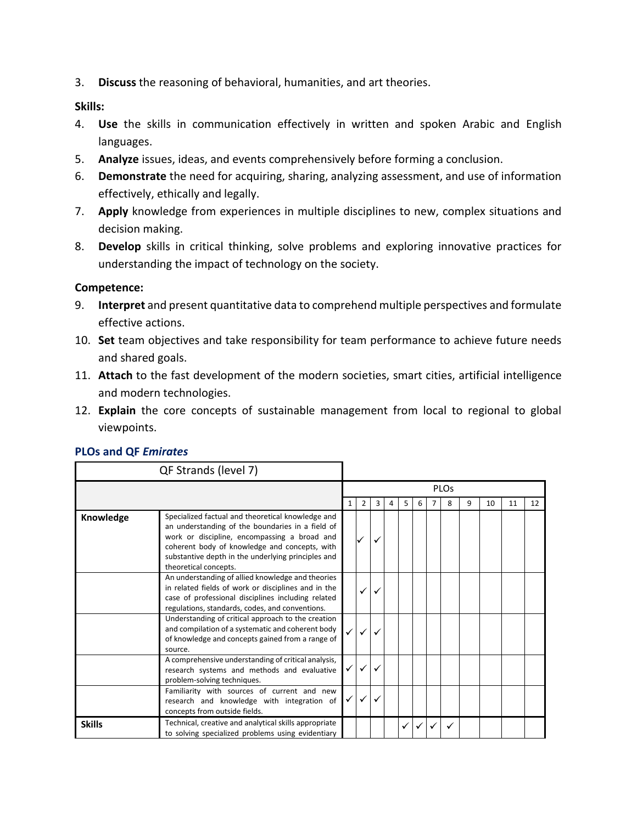3. **Discuss** the reasoning of behavioral, humanities, and art theories.

**Skills:**

- 4. **Use** the skills in communication effectively in written and spoken Arabic and English languages.
- 5. **Analyze** issues, ideas, and events comprehensively before forming a conclusion.
- 6. **Demonstrate** the need for acquiring, sharing, analyzing assessment, and use of information effectively, ethically and legally.
- 7. **Apply** knowledge from experiences in multiple disciplines to new, complex situations and decision making.
- 8. **Develop** skills in critical thinking, solve problems and exploring innovative practices for understanding the impact of technology on the society.

#### **Competence:**

- 9. **Interpret** and present quantitative data to comprehend multiple perspectives and formulate effective actions.
- 10. **Set** team objectives and take responsibility for team performance to achieve future needs and shared goals.
- 11. **Attach** to the fast development of the modern societies, smart cities, artificial intelligence and modern technologies.
- 12. **Explain** the core concepts of sustainable management from local to regional to global viewpoints.

|               | QF Strands (level 7)                                                                                                                                                                                                                                                                  |              |   |   |   |   |   |                        |   |    |    |    |
|---------------|---------------------------------------------------------------------------------------------------------------------------------------------------------------------------------------------------------------------------------------------------------------------------------------|--------------|---|---|---|---|---|------------------------|---|----|----|----|
|               |                                                                                                                                                                                                                                                                                       |              |   |   |   |   |   | <b>PLO<sub>s</sub></b> |   |    |    |    |
|               |                                                                                                                                                                                                                                                                                       | 1            | 2 | 3 | 4 | 5 | 6 | 8                      | 9 | 10 | 11 | 12 |
| Knowledge     | Specialized factual and theoretical knowledge and<br>an understanding of the boundaries in a field of<br>work or discipline, encompassing a broad and<br>coherent body of knowledge and concepts, with<br>substantive depth in the underlying principles and<br>theoretical concepts. |              |   |   |   |   |   |                        |   |    |    |    |
|               | An understanding of allied knowledge and theories<br>in related fields of work or disciplines and in the<br>case of professional disciplines including related<br>regulations, standards, codes, and conventions.                                                                     |              |   |   |   |   |   |                        |   |    |    |    |
|               | Understanding of critical approach to the creation<br>and compilation of a systematic and coherent body<br>of knowledge and concepts gained from a range of<br>source.                                                                                                                |              |   |   |   |   |   |                        |   |    |    |    |
|               | A comprehensive understanding of critical analysis,<br>research systems and methods and evaluative<br>problem-solving techniques.                                                                                                                                                     |              |   |   |   |   |   |                        |   |    |    |    |
|               | Familiarity with sources of current and new<br>research and knowledge with integration of<br>concepts from outside fields.                                                                                                                                                            | $\checkmark$ |   |   |   |   |   |                        |   |    |    |    |
| <b>Skills</b> | Technical, creative and analytical skills appropriate<br>to solving specialized problems using evidentiary                                                                                                                                                                            |              |   |   |   |   |   |                        |   |    |    |    |

#### **PLOs and QF** *Emirates*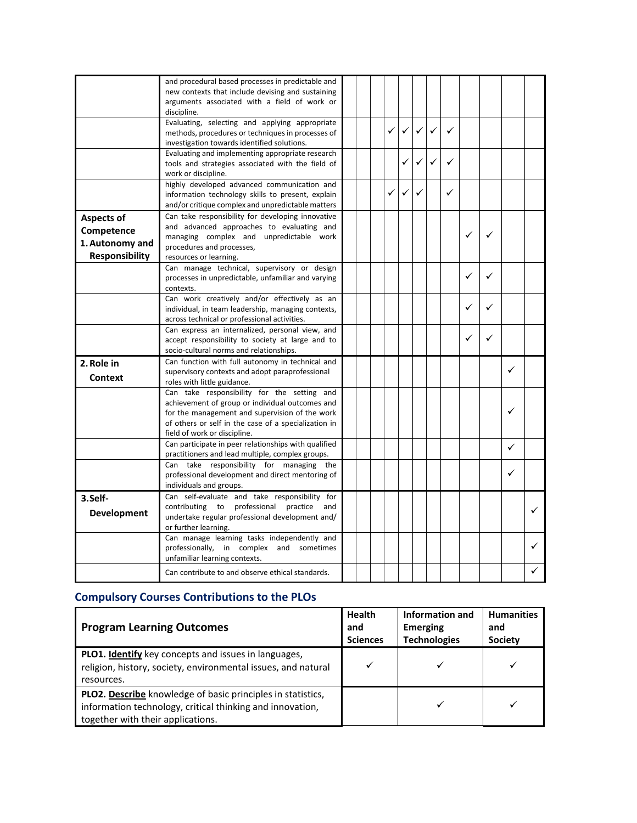|                       | and procedural based processes in predictable and                                                |  |              |   |   |   |   |   |   |  |
|-----------------------|--------------------------------------------------------------------------------------------------|--|--------------|---|---|---|---|---|---|--|
|                       | new contexts that include devising and sustaining                                                |  |              |   |   |   |   |   |   |  |
|                       | arguments associated with a field of work or                                                     |  |              |   |   |   |   |   |   |  |
|                       | discipline.                                                                                      |  |              |   |   |   |   |   |   |  |
|                       | Evaluating, selecting and applying appropriate                                                   |  | $\checkmark$ | ✓ | ✓ | ✓ |   |   |   |  |
|                       | methods, procedures or techniques in processes of                                                |  |              |   |   |   |   |   |   |  |
|                       | investigation towards identified solutions.                                                      |  |              |   |   |   |   |   |   |  |
|                       | Evaluating and implementing appropriate research                                                 |  |              |   | ✓ | ✓ |   |   |   |  |
|                       | tools and strategies associated with the field of                                                |  |              |   |   |   |   |   |   |  |
|                       | work or discipline.<br>highly developed advanced communication and                               |  |              |   |   |   |   |   |   |  |
|                       | information technology skills to present, explain                                                |  | ✓            |   |   | ✓ |   |   |   |  |
|                       | and/or critique complex and unpredictable matters                                                |  |              |   |   |   |   |   |   |  |
|                       | Can take responsibility for developing innovative                                                |  |              |   |   |   |   |   |   |  |
| <b>Aspects of</b>     | and advanced approaches to evaluating and                                                        |  |              |   |   |   |   |   |   |  |
| Competence            | managing complex and unpredictable work                                                          |  |              |   |   |   | ✓ | ✓ |   |  |
| 1. Autonomy and       | procedures and processes,                                                                        |  |              |   |   |   |   |   |   |  |
| <b>Responsibility</b> | resources or learning.                                                                           |  |              |   |   |   |   |   |   |  |
|                       | Can manage technical, supervisory or design                                                      |  |              |   |   |   |   |   |   |  |
|                       | processes in unpredictable, unfamiliar and varying                                               |  |              |   |   |   | ✓ | ✓ |   |  |
|                       | contexts.                                                                                        |  |              |   |   |   |   |   |   |  |
|                       | Can work creatively and/or effectively as an                                                     |  |              |   |   |   |   |   |   |  |
|                       | individual, in team leadership, managing contexts,                                               |  |              |   |   |   | ✓ | ✓ |   |  |
|                       | across technical or professional activities.                                                     |  |              |   |   |   |   |   |   |  |
|                       | Can express an internalized, personal view, and                                                  |  |              |   |   |   |   |   |   |  |
|                       | accept responsibility to society at large and to                                                 |  |              |   |   |   | ✓ | ✓ |   |  |
|                       | socio-cultural norms and relationships.                                                          |  |              |   |   |   |   |   |   |  |
| 2. Role in            | Can function with full autonomy in technical and                                                 |  |              |   |   |   |   |   |   |  |
|                       | supervisory contexts and adopt paraprofessional                                                  |  |              |   |   |   |   |   | ✓ |  |
| <b>Context</b>        | roles with little guidance.                                                                      |  |              |   |   |   |   |   |   |  |
|                       | Can take responsibility for the setting and                                                      |  |              |   |   |   |   |   |   |  |
|                       | achievement of group or individual outcomes and                                                  |  |              |   |   |   |   |   |   |  |
|                       | for the management and supervision of the work                                                   |  |              |   |   |   |   |   | ✓ |  |
|                       | of others or self in the case of a specialization in                                             |  |              |   |   |   |   |   |   |  |
|                       | field of work or discipline.                                                                     |  |              |   |   |   |   |   |   |  |
|                       | Can participate in peer relationships with qualified                                             |  |              |   |   |   |   |   | ✓ |  |
|                       | practitioners and lead multiple, complex groups.                                                 |  |              |   |   |   |   |   |   |  |
|                       | Can take responsibility for managing<br>the                                                      |  |              |   |   |   |   |   | ✓ |  |
|                       | professional development and direct mentoring of                                                 |  |              |   |   |   |   |   |   |  |
|                       | individuals and groups.                                                                          |  |              |   |   |   |   |   |   |  |
| 3.Self-               | Can self-evaluate and take responsibility for<br>contributing to professional<br>practice<br>and |  |              |   |   |   |   |   |   |  |
| <b>Development</b>    | undertake regular professional development and/                                                  |  |              |   |   |   |   |   |   |  |
|                       | or further learning.                                                                             |  |              |   |   |   |   |   |   |  |
|                       | Can manage learning tasks independently and                                                      |  |              |   |   |   |   |   |   |  |
|                       | professionally, in complex and sometimes                                                         |  |              |   |   |   |   |   |   |  |
|                       | unfamiliar learning contexts.                                                                    |  |              |   |   |   |   |   |   |  |
|                       |                                                                                                  |  |              |   |   |   |   |   |   |  |
|                       | Can contribute to and observe ethical standards.                                                 |  |              |   |   |   |   |   |   |  |

#### **Compulsory Courses Contributions to the PLOs**

| <b>Program Learning Outcomes</b>                                                                                                                                     | <b>Health</b><br>and<br><b>Sciences</b> | Information and<br><b>Emerging</b><br><b>Technologies</b> | <b>Humanities</b><br>and<br><b>Society</b> |
|----------------------------------------------------------------------------------------------------------------------------------------------------------------------|-----------------------------------------|-----------------------------------------------------------|--------------------------------------------|
| <b>PLO1. Identify</b> key concepts and issues in languages,<br>religion, history, society, environmental issues, and natural<br>resources.                           |                                         |                                                           |                                            |
| <b>PLO2. Describe</b> knowledge of basic principles in statistics,<br>information technology, critical thinking and innovation,<br>together with their applications. |                                         |                                                           |                                            |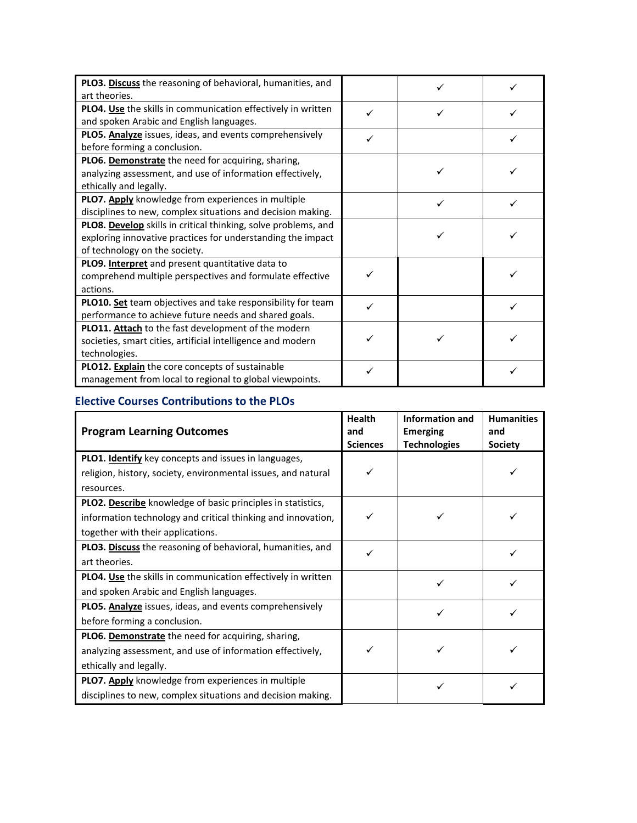| PLO3. Discuss the reasoning of behavioral, humanities, and     |  |  |
|----------------------------------------------------------------|--|--|
| art theories.                                                  |  |  |
| PLO4. Use the skills in communication effectively in written   |  |  |
| and spoken Arabic and English languages.                       |  |  |
| PLO5. Analyze issues, ideas, and events comprehensively        |  |  |
| before forming a conclusion.                                   |  |  |
| PLO6. Demonstrate the need for acquiring, sharing,             |  |  |
| analyzing assessment, and use of information effectively,      |  |  |
| ethically and legally.                                         |  |  |
| PLO7. Apply knowledge from experiences in multiple             |  |  |
| disciplines to new, complex situations and decision making.    |  |  |
| PLO8. Develop skills in critical thinking, solve problems, and |  |  |
| exploring innovative practices for understanding the impact    |  |  |
| of technology on the society.                                  |  |  |
| <b>PLO9. Interpret</b> and present quantitative data to        |  |  |
| comprehend multiple perspectives and formulate effective       |  |  |
| actions.                                                       |  |  |
| PLO10. Set team objectives and take responsibility for team    |  |  |
| performance to achieve future needs and shared goals.          |  |  |
| PLO11. Attach to the fast development of the modern            |  |  |
| societies, smart cities, artificial intelligence and modern    |  |  |
| technologies.                                                  |  |  |
| PLO12. Explain the core concepts of sustainable                |  |  |
| management from local to regional to global viewpoints.        |  |  |

#### **Elective Courses Contributions to the PLOs**

| <b>Program Learning Outcomes</b>                              | <b>Health</b><br>and<br><b>Sciences</b> | <b>Information and</b><br><b>Emerging</b><br><b>Technologies</b> | <b>Humanities</b><br>and<br><b>Society</b> |
|---------------------------------------------------------------|-----------------------------------------|------------------------------------------------------------------|--------------------------------------------|
| PLO1. Identify key concepts and issues in languages,          |                                         |                                                                  |                                            |
| religion, history, society, environmental issues, and natural |                                         |                                                                  |                                            |
| resources.                                                    |                                         |                                                                  |                                            |
| PLO2. Describe knowledge of basic principles in statistics,   |                                         |                                                                  |                                            |
| information technology and critical thinking and innovation,  |                                         |                                                                  |                                            |
| together with their applications.                             |                                         |                                                                  |                                            |
| PLO3. Discuss the reasoning of behavioral, humanities, and    |                                         |                                                                  |                                            |
| art theories.                                                 |                                         |                                                                  |                                            |
| PLO4. Use the skills in communication effectively in written  |                                         |                                                                  |                                            |
| and spoken Arabic and English languages.                      |                                         |                                                                  |                                            |
| PLO5. Analyze issues, ideas, and events comprehensively       |                                         |                                                                  |                                            |
| before forming a conclusion.                                  |                                         |                                                                  |                                            |
| PLO6. Demonstrate the need for acquiring, sharing,            |                                         |                                                                  |                                            |
| analyzing assessment, and use of information effectively,     |                                         |                                                                  |                                            |
| ethically and legally.                                        |                                         |                                                                  |                                            |
| PLO7. Apply knowledge from experiences in multiple            |                                         |                                                                  |                                            |
| disciplines to new, complex situations and decision making.   |                                         |                                                                  |                                            |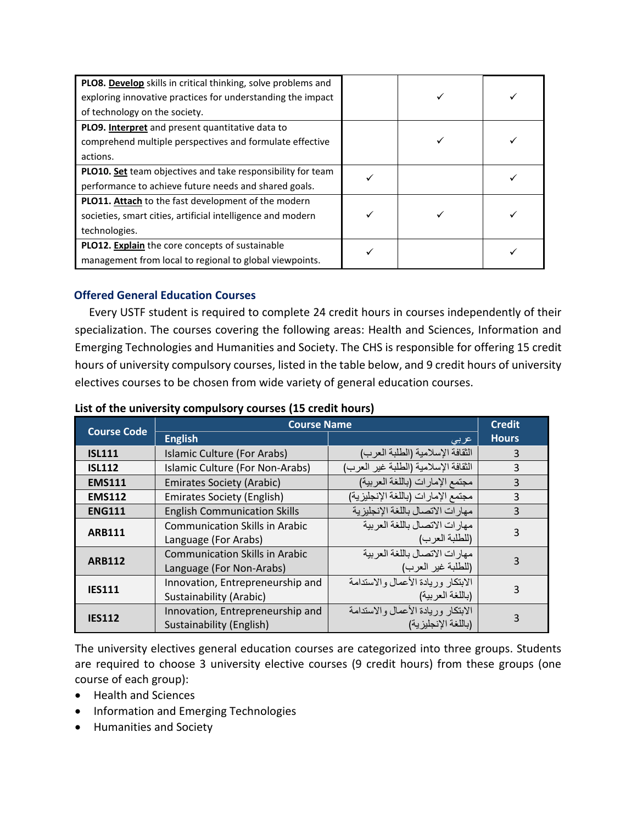| PLO8. Develop skills in critical thinking, solve problems and |  |  |
|---------------------------------------------------------------|--|--|
| exploring innovative practices for understanding the impact   |  |  |
| of technology on the society.                                 |  |  |
| PLO9. Interpret and present quantitative data to              |  |  |
| comprehend multiple perspectives and formulate effective      |  |  |
| actions.                                                      |  |  |
| PLO10. Set team objectives and take responsibility for team   |  |  |
| performance to achieve future needs and shared goals.         |  |  |
| <b>PLO11. Attach</b> to the fast development of the modern    |  |  |
| societies, smart cities, artificial intelligence and modern   |  |  |
| technologies.                                                 |  |  |
| PLO12. Explain the core concepts of sustainable               |  |  |
| management from local to regional to global viewpoints.       |  |  |

#### **Offered General Education Courses**

Every USTF student is required to complete 24 credit hours in courses independently of their specialization. The courses covering the following areas: Health and Sciences, Information and Emerging Technologies and Humanities and Society. The CHS is responsible for offering 15 credit hours of university compulsory courses, listed in the table below, and 9 credit hours of university electives courses to be chosen from wide variety of general education courses.

| List of the university compulsory courses (15 credit hours) |  |
|-------------------------------------------------------------|--|
|-------------------------------------------------------------|--|

| <b>Course Code</b> | <b>Course Name</b>                    |                                      |              |
|--------------------|---------------------------------------|--------------------------------------|--------------|
|                    | <b>English</b>                        | عربى                                 | <b>Hours</b> |
| <b>ISL111</b>      | Islamic Culture (For Arabs)           | الثقافة الإسلامية (الطلبة العرب)     | 3            |
| <b>ISL112</b>      | Islamic Culture (For Non-Arabs)       | الثقافة الإسلامية (الطلبة غير العرب) | 3            |
| <b>EMS111</b>      | <b>Emirates Society (Arabic)</b>      | مجتمع الإمارات (باللغة العربية)      | 3            |
| <b>EMS112</b>      | <b>Emirates Society (English)</b>     | مجتمع الإمار ات (باللغة الإنجليز ية) | 3            |
| <b>ENG111</b>      | <b>English Communication Skills</b>   | مهار ات الاتصال باللغة الإنجليزية    | 3            |
|                    | <b>Communication Skills in Arabic</b> | مهار ات الاتصال باللغة العر ببة      | 3            |
| <b>ARB111</b>      | Language (For Arabs)                  | (للطلبة العرب)                       |              |
| <b>ARB112</b>      | <b>Communication Skills in Arabic</b> | مهار ات الاتصال باللغة العر ببة      |              |
|                    | Language (For Non-Arabs)              | (للطلبة غير العرب)                   |              |
| <b>IES111</b>      | Innovation, Entrepreneurship and      | الابتكار وريادة الأعمال والاستدامة   | 3            |
|                    | Sustainability (Arabic)               | (باللغة العر بية)                    |              |
| <b>IES112</b>      | Innovation, Entrepreneurship and      | الابتكار وريادة الأعمال والاستدامة   |              |
|                    | Sustainability (English)              | (باللغة الإنجليز ية)                 |              |

The university electives general education courses are categorized into three groups. Students are required to choose 3 university elective courses (9 credit hours) from these groups (one course of each group):

- Health and Sciences
- Information and Emerging Technologies
- Humanities and Society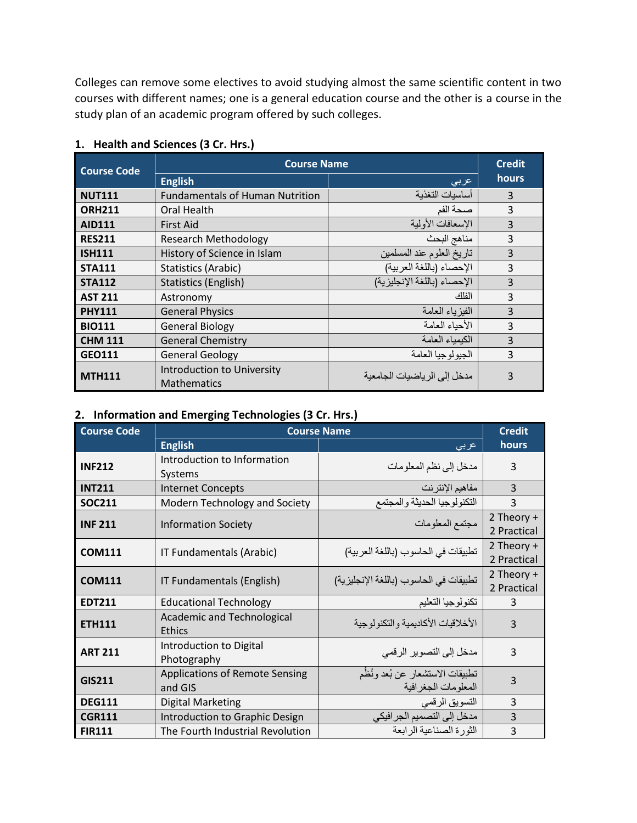Colleges can remove some electives to avoid studying almost the same scientific content in two courses with different names; one is a general education course and the other is a course in the study plan of an academic program offered by such colleges.

|                | <b>Course Name</b><br><b>Course Code</b>         |                              |       |
|----------------|--------------------------------------------------|------------------------------|-------|
|                | <b>English</b>                                   | عربى                         | hours |
| <b>NUT111</b>  | <b>Fundamentals of Human Nutrition</b>           | أساسيات التغذية              | 3     |
| <b>ORH211</b>  | Oral Health                                      | صحة الفم                     | 3     |
| <b>AID111</b>  | <b>First Aid</b>                                 | الإسعافات الأولية            | 3     |
| <b>RES211</b>  | <b>Research Methodology</b>                      | مناهج البحث                  | 3     |
| <b>ISH111</b>  | History of Science in Islam                      | تاريخ العلوم عند المسلمين    | 3     |
| <b>STA111</b>  | Statistics (Arabic)                              | الإحصاء (باللغة العربية)     | 3     |
| <b>STA112</b>  | Statistics (English)                             | الإحصاء (باللغة الإنجليزية)  | 3     |
| <b>AST 211</b> | Astronomy                                        | اأفأك                        | 3     |
| <b>PHY111</b>  | <b>General Physics</b>                           | الفيز ياء العامة             | 3     |
| <b>BIO111</b>  | <b>General Biology</b>                           | الأحباء العامة               | 3     |
| <b>CHM 111</b> | <b>General Chemistry</b>                         | الكبمباء العامة              | 3     |
| <b>GEO111</b>  | <b>General Geology</b>                           | الجيو لوجيا العامة           | 3     |
| <b>MTH111</b>  | Introduction to University<br><b>Mathematics</b> | مدخل إلى الر ياضيات الجامعية | 3     |

#### **1. Health and Sciences (3 Cr. Hrs.)**

#### **2. Information and Emerging Technologies (3 Cr. Hrs.)**

| <b>Course Code</b> | <b>Course Name</b>                                 |                                                          |                           |
|--------------------|----------------------------------------------------|----------------------------------------------------------|---------------------------|
|                    | <b>English</b>                                     | عربى                                                     | hours                     |
| <b>INF212</b>      | Introduction to Information<br>Systems             | مدخل إلى نظم المعلومات                                   | 3                         |
| <b>INT211</b>      | <b>Internet Concepts</b>                           | مفاهيم الإنترنت                                          | 3                         |
| <b>SOC211</b>      | Modern Technology and Society                      | التكنولوجيا الحديثة والمجتمع                             | 3                         |
| <b>INF 211</b>     | <b>Information Society</b>                         | مجتمع المعلومات                                          | 2 Theory +<br>2 Practical |
| <b>COM111</b>      | IT Fundamentals (Arabic)                           | تطبيقات في الحاسوب (باللغة العربية)                      | 2 Theory +<br>2 Practical |
| <b>COM111</b>      | IT Fundamentals (English)                          | تطبيقات في الحاسوب (باللغة الإنجليزية)                   | 2 Theory +<br>2 Practical |
| <b>EDT211</b>      | <b>Educational Technology</b>                      | تكنولوجيا التعليم                                        | 3                         |
| <b>ETH111</b>      | <b>Academic and Technological</b><br><b>Ethics</b> | الأخلاقيات الأكاديمية و التكنو لو جية                    | 3                         |
| <b>ART 211</b>     | Introduction to Digital<br>Photography             | مدخل إلى التصوير الرقمي                                  | 3                         |
| <b>GIS211</b>      | <b>Applications of Remote Sensing</b><br>and GIS   | تطبيقات الاستشعار عن بُعد ونُظُم<br>المعلومات الجغر افية | 3                         |
| <b>DEG111</b>      | <b>Digital Marketing</b>                           | التسويق الرقمي                                           | 3                         |
| <b>CGR111</b>      | Introduction to Graphic Design                     | مدخل إلى التصميم الجر افيكي                              | 3                         |
| <b>FIR111</b>      | The Fourth Industrial Revolution                   | الثورة الصناعية الرابعة                                  | 3                         |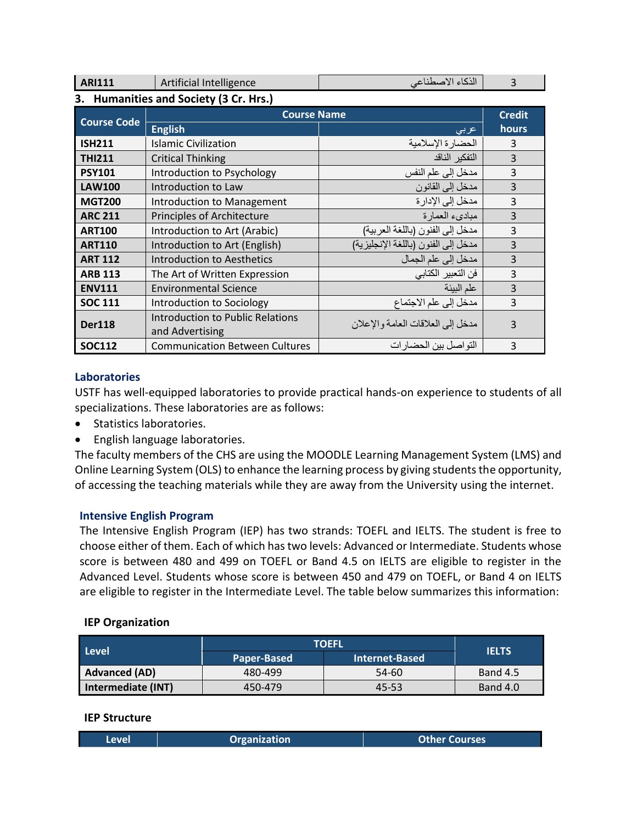| <b>ARI111</b>      | Artificial Intelligence                             | الذكاء الاصطناعي                    | ξ              |
|--------------------|-----------------------------------------------------|-------------------------------------|----------------|
|                    | 3. Humanities and Society (3 Cr. Hrs.)              |                                     |                |
| <b>Course Code</b> | <b>Course Name</b>                                  |                                     | <b>Credit</b>  |
|                    | <b>English</b>                                      | عربى                                | hours          |
| <b>ISH211</b>      | Islamic Civilization                                | الحضارة الإسلامية                   | 3              |
| <b>THI211</b>      | <b>Critical Thinking</b>                            | التفكير الناقد                      | 3              |
| <b>PSY101</b>      | Introduction to Psychology                          | مدخل إلى علم النفس                  | $\overline{3}$ |
| <b>LAW100</b>      | Introduction to Law                                 | مدخل إلى القانون                    | $\overline{3}$ |
| <b>MGT200</b>      | Introduction to Management                          | مدخل إلى الإدار ة                   | $\overline{3}$ |
| <b>ARC 211</b>     | <b>Principles of Architecture</b>                   | مبادىء العمارة                      | 3              |
| <b>ART100</b>      | Introduction to Art (Arabic)                        | مدخل إلى الفنون (باللغة العربية)    | $\overline{3}$ |
| <b>ART110</b>      | Introduction to Art (English)                       | مدخل إلى الفنون (باللغة الإنجليزية) | $\overline{3}$ |
| <b>ART 112</b>     | Introduction to Aesthetics                          | مدخل إلى علم الجمال                 | $\overline{3}$ |
| <b>ARB 113</b>     | The Art of Written Expression                       | فن التعبير الكتابي                  | $\overline{3}$ |
| <b>ENV111</b>      | <b>Environmental Science</b>                        | علم البيئة                          | $\overline{3}$ |
| <b>SOC 111</b>     | Introduction to Sociology                           | مدخل إلى علم الاجتماع               | $\overline{3}$ |
| <b>Der118</b>      | Introduction to Public Relations<br>and Advertising | مدخل إلى العلاقات العامة و الإعلان  | ξ              |
| <b>SOC112</b>      | <b>Communication Between Cultures</b>               | التواصل بين الحضار ات               | 3              |

#### **Laboratories**

USTF has well-equipped laboratories to provide practical hands-on experience to students of all specializations. These laboratories are as follows:

- Statistics laboratories.
- English language laboratories.

The faculty members of the CHS are using the MOODLE Learning Management System (LMS) and Online Learning System (OLS) to enhance the learning process by giving students the opportunity, of accessing the teaching materials while they are away from the University using the internet.

#### **Intensive English Program**

The Intensive English Program (IEP) has two strands: TOEFL and IELTS. The student is free to choose either of them. Each of which has two levels: Advanced or Intermediate. Students whose score is between 480 and 499 on TOEFL or Band 4.5 on IELTS are eligible to register in the Advanced Level. Students whose score is between 450 and 479 on TOEFL, or Band 4 on IELTS are eligible to register in the Intermediate Level. The table below summarizes this information:

#### **IEP Organization**

| <b>Level</b>         | <b>TOEFL</b> | <b>IELTS</b>          |                 |  |
|----------------------|--------------|-----------------------|-----------------|--|
|                      | Paper-Based  | <b>Internet-Based</b> |                 |  |
| <b>Advanced (AD)</b> | 480-499      | $54-60$               | <b>Band 4.5</b> |  |
| Intermediate (INT)   | 450-479      | 45-53                 | Band 4.0        |  |

#### **IEP Structure**

| <b>Level</b> | <b>Organization</b> | <b>Other Courses</b> |
|--------------|---------------------|----------------------|
|              |                     |                      |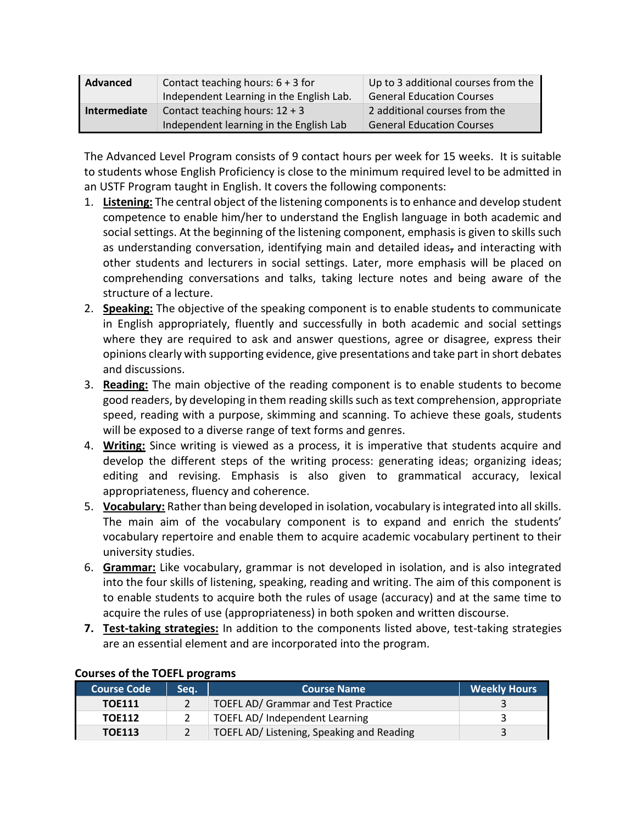| Advanced     | Contact teaching hours: $6 + 3$ for<br>Independent Learning in the English Lab. | Up to 3 additional courses from the<br><b>General Education Courses</b> |
|--------------|---------------------------------------------------------------------------------|-------------------------------------------------------------------------|
| Intermediate | Contact teaching hours: $12 + 3$<br>Independent learning in the English Lab     | 2 additional courses from the<br><b>General Education Courses</b>       |

The Advanced Level Program consists of 9 contact hours per week for 15 weeks. It is suitable to students whose English Proficiency is close to the minimum required level to be admitted in an USTF Program taught in English. It covers the following components:

- 1. **Listening:** The central object of the listening components is to enhance and develop student competence to enable him/her to understand the English language in both academic and social settings. At the beginning of the listening component, emphasis is given to skills such as understanding conversation, identifying main and detailed ideas, and interacting with other students and lecturers in social settings. Later, more emphasis will be placed on comprehending conversations and talks, taking lecture notes and being aware of the structure of a lecture.
- 2. **Speaking:** The objective of the speaking component is to enable students to communicate in English appropriately, fluently and successfully in both academic and social settings where they are required to ask and answer questions, agree or disagree, express their opinions clearly with supporting evidence, give presentations and take part in short debates and discussions.
- 3. **Reading:** The main objective of the reading component is to enable students to become good readers, by developing in them reading skills such as text comprehension, appropriate speed, reading with a purpose, skimming and scanning. To achieve these goals, students will be exposed to a diverse range of text forms and genres.
- 4. **Writing:** Since writing is viewed as a process, it is imperative that students acquire and develop the different steps of the writing process: generating ideas; organizing ideas; editing and revising. Emphasis is also given to grammatical accuracy, lexical appropriateness, fluency and coherence.
- 5. **Vocabulary:** Rather than being developed in isolation, vocabulary is integrated into all skills. The main aim of the vocabulary component is to expand and enrich the students' vocabulary repertoire and enable them to acquire academic vocabulary pertinent to their university studies.
- 6. **Grammar:** Like vocabulary, grammar is not developed in isolation, and is also integrated into the four skills of listening, speaking, reading and writing. The aim of this component is to enable students to acquire both the rules of usage (accuracy) and at the same time to acquire the rules of use (appropriateness) in both spoken and written discourse.
- **7. Test-taking strategies:** In addition to the components listed above, test-taking strategies are an essential element and are incorporated into the program.

| <b>Course Code</b> | Sea. | <b>Course Name</b>                        | <b>Weekly Hours</b> |
|--------------------|------|-------------------------------------------|---------------------|
| <b>TOE111</b>      |      | TOEFL AD/ Grammar and Test Practice       |                     |
| <b>TOE112</b>      |      | TOEFL AD/ Independent Learning            |                     |
| <b>TOE113</b>      |      | TOEFL AD/ Listening, Speaking and Reading |                     |

#### **Courses of the TOEFL programs**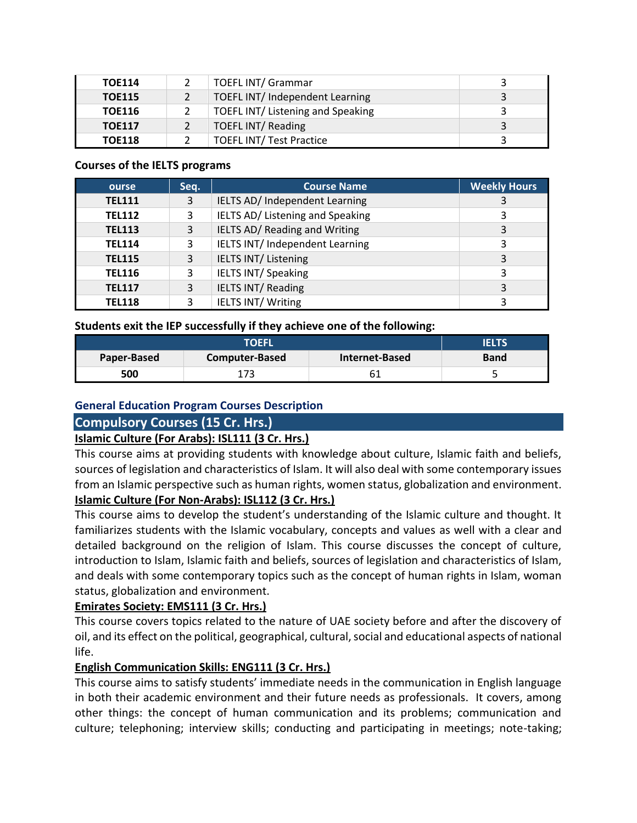| <b>TOE114</b> | <b>TOEFL INT/ Grammar</b>         |   |
|---------------|-----------------------------------|---|
| <b>TOE115</b> | TOEFL INT/ Independent Learning   | 3 |
| <b>TOE116</b> | TOEFL INT/ Listening and Speaking | 2 |
| <b>TOE117</b> | <b>TOEFL INT/ Reading</b>         | ર |
| <b>TOE118</b> | <b>TOEFL INT/ Test Practice</b>   |   |

#### **Courses of the IELTS programs**

| ourse         | Seq. | <b>Course Name</b>                     | <b>Weekly Hours</b> |
|---------------|------|----------------------------------------|---------------------|
| <b>TEL111</b> | 3    | IELTS AD/ Independent Learning         |                     |
| <b>TEL112</b> | 3    | IELTS AD/ Listening and Speaking       | 3                   |
| <b>TEL113</b> | 3    | IELTS AD/ Reading and Writing          | 3                   |
| <b>TEL114</b> | 3    | <b>IELTS INT/ Independent Learning</b> | 3                   |
| <b>TEL115</b> | 3    | <b>IELTS INT/ Listening</b>            | 3                   |
| <b>TEL116</b> | 3    | <b>IELTS INT/ Speaking</b>             | 3                   |
| <b>TEL117</b> | 3    | <b>IELTS INT/ Reading</b>              |                     |
| <b>TEL118</b> | 3    | <b>IELTS INT/Writing</b>               | 3                   |

**Students exit the IEP successfully if they achieve one of the following:**

| <b>TOEFL</b> |             |  | <b>FLTS</b> |
|--------------|-------------|--|-------------|
| Paper-Based  | <b>Band</b> |  |             |
| 500          |             |  | ۰           |

#### **General Education Program Courses Description**

#### **Compulsory Courses (15 Cr. Hrs.)**

#### **Islamic Culture (For Arabs): ISL111 (3 Cr. Hrs.)**

This course aims at providing students with knowledge about culture, Islamic faith and beliefs, sources of legislation and characteristics of Islam. It will also deal with some contemporary issues from an Islamic perspective such as human rights, women status, globalization and environment. **Islamic Culture (For Non-Arabs): ISL112 (3 Cr. Hrs.)**

This course aims to develop the student's understanding of the Islamic culture and thought. It familiarizes students with the Islamic vocabulary, concepts and values as well with a clear and detailed background on the religion of Islam. This course discusses the concept of culture, introduction to Islam, Islamic faith and beliefs, sources of legislation and characteristics of Islam, and deals with some contemporary topics such as the concept of human rights in Islam, woman status, globalization and environment.

#### **Emirates Society: EMS111 (3 Cr. Hrs.)**

This course covers topics related to the nature of UAE society before and after the discovery of oil, and its effect on the political, geographical, cultural, social and educational aspects of national life.

#### **English Communication Skills: ENG111 (3 Cr. Hrs.)**

This course aims to satisfy students' immediate needs in the communication in English language in both their academic environment and their future needs as professionals. It covers, among other things: the concept of human communication and its problems; communication and culture; telephoning; interview skills; conducting and participating in meetings; note-taking;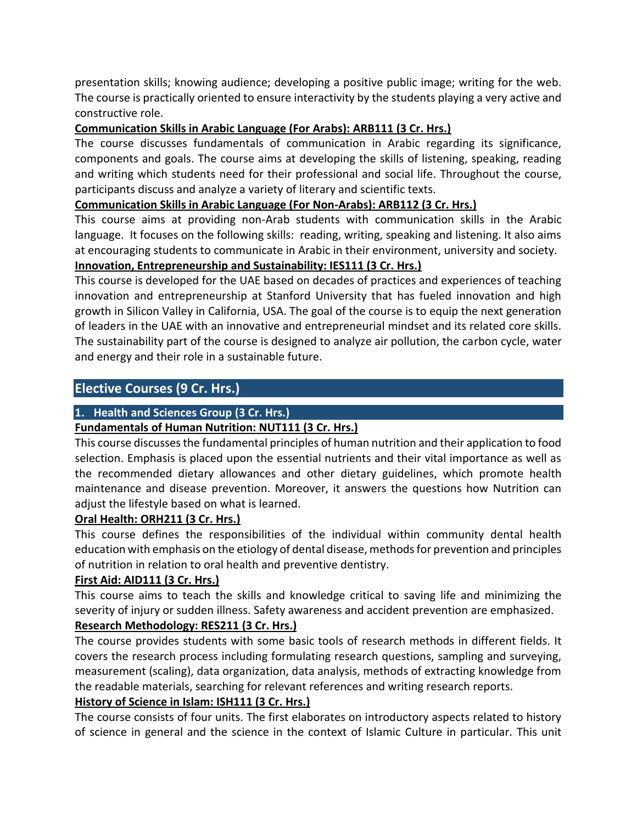presentation skills; knowing audience; developing a positive public image; writing for the web. The course is practically oriented to ensure interactivity by the students playing a very active and constructive role.

#### **Communication Skills in Arabic Language (For Arabs): ARB111 (3 Cr. Hrs.)**

The course discusses fundamentals of communication in Arabic regarding its significance, components and goals. The course aims at developing the skills of listening, speaking, reading and writing which students need for their professional and social life. Throughout the course, participants discuss and analyze a variety of literary and scientific texts.

#### **Communication Skills in Arabic Language (For Non-Arabs): ARB112 (3 Cr. Hrs.)**

This course aims at providing non-Arab students with communication skills in the Arabic language. It focuses on the following skills: reading, writing, speaking and listening. It also aims at encouraging students to communicate in Arabic in their environment, university and society.

#### **Innovation, Entrepreneurship and Sustainability: IES111 (3 Cr. Hrs.)**

This course is developed for the UAE based on decades of practices and experiences of teaching innovation and entrepreneurship at Stanford University that has fueled innovation and high growth in Silicon Valley in California, USA. The goal of the course is to equip the next generation of leaders in the UAE with an innovative and entrepreneurial mindset and its related core skills. The sustainability part of the course is designed to analyze air pollution, the carbon cycle, water and energy and their role in a sustainable future.

#### **Elective Courses (9 Cr. Hrs.)**

#### **1. Health and Sciences Group (3 Cr. Hrs.)**

#### **Fundamentals of Human Nutrition: NUT111 (3 Cr. Hrs.)**

This course discusses the fundamental principles of human nutrition and their application to food selection. Emphasis is placed upon the essential nutrients and their vital importance as well as the recommended dietary allowances and other dietary guidelines, which promote health maintenance and disease prevention. Moreover, it answers the questions how Nutrition can adjust the lifestyle based on what is learned.

#### **Oral Health: ORH211 (3 Cr. Hrs.)**

This course defines the responsibilities of the individual within community dental health education with emphasis on the etiology of dental disease, methods for prevention and principles of nutrition in relation to oral health and preventive dentistry.

#### **First Aid: AID111 (3 Cr. Hrs.)**

This course aims to teach the skills and knowledge critical to saving life and minimizing the severity of injury or sudden illness. Safety awareness and accident prevention are emphasized.

#### **Research Methodology: RES211 (3 Cr. Hrs.)**

The course provides students with some basic tools of research methods in different fields. It covers the research process including formulating research questions, sampling and surveying, measurement (scaling), data organization, data analysis, methods of extracting knowledge from the readable materials, searching for relevant references and writing research reports.

#### **History of Science in Islam: ISH111 (3 Cr. Hrs.)**

The course consists of four units. The first elaborates on introductory aspects related to history of science in general and the science in the context of Islamic Culture in particular. This unit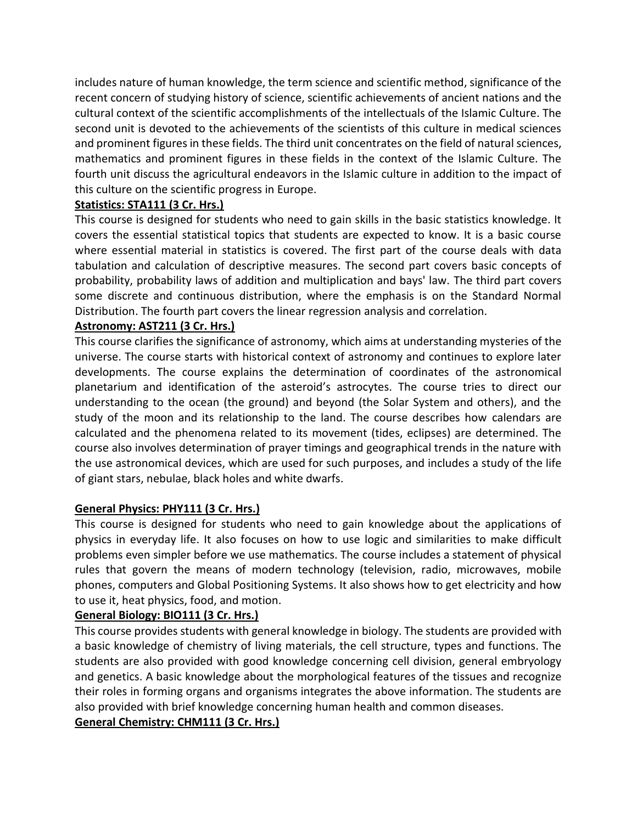includes nature of human knowledge, the term science and scientific method, significance of the recent concern of studying history of science, scientific achievements of ancient nations and the cultural context of the scientific accomplishments of the intellectuals of the Islamic Culture. The second unit is devoted to the achievements of the scientists of this culture in medical sciences and prominent figures in these fields. The third unit concentrates on the field of natural sciences, mathematics and prominent figures in these fields in the context of the Islamic Culture. The fourth unit discuss the agricultural endeavors in the Islamic culture in addition to the impact of this culture on the scientific progress in Europe.

#### **Statistics: STA111 (3 Cr. Hrs.)**

This course is designed for students who need to gain skills in the basic statistics knowledge. It covers the essential statistical topics that students are expected to know. It is a basic course where essential material in statistics is covered. The first part of the course deals with data tabulation and calculation of descriptive measures. The second part covers basic concepts of probability, probability laws of addition and multiplication and bays' law. The third part covers some discrete and continuous distribution, where the emphasis is on the Standard Normal Distribution. The fourth part covers the linear regression analysis and correlation.

#### **Astronomy: AST211 (3 Cr. Hrs.)**

This course clarifies the significance of astronomy, which aims at understanding mysteries of the universe. The course starts with historical context of astronomy and continues to explore later developments. The course explains the determination of coordinates of the astronomical planetarium and identification of the asteroid's astrocytes. The course tries to direct our understanding to the ocean (the ground) and beyond (the Solar System and others), and the study of the moon and its relationship to the land. The course describes how calendars are calculated and the phenomena related to its movement (tides, eclipses) are determined. The course also involves determination of prayer timings and geographical trends in the nature with the use astronomical devices, which are used for such purposes, and includes a study of the life of giant stars, nebulae, black holes and white dwarfs.

#### **General Physics: PHY111 (3 Cr. Hrs.)**

This course is designed for students who need to gain knowledge about the applications of physics in everyday life. It also focuses on how to use logic and similarities to make difficult problems even simpler before we use mathematics. The course includes a statement of physical rules that govern the means of modern technology (television, radio, microwaves, mobile phones, computers and Global Positioning Systems. It also shows how to get electricity and how to use it, heat physics, food, and motion.

#### **General Biology: BIO111 (3 Cr. Hrs.)**

This course provides students with general knowledge in biology. The students are provided with a basic knowledge of chemistry of living materials, the cell structure, types and functions. The students are also provided with good knowledge concerning cell division, general embryology and genetics. A basic knowledge about the morphological features of the tissues and recognize their roles in forming organs and organisms integrates the above information. The students are also provided with brief knowledge concerning human health and common diseases.

#### **General Chemistry: CHM111 (3 Cr. Hrs.)**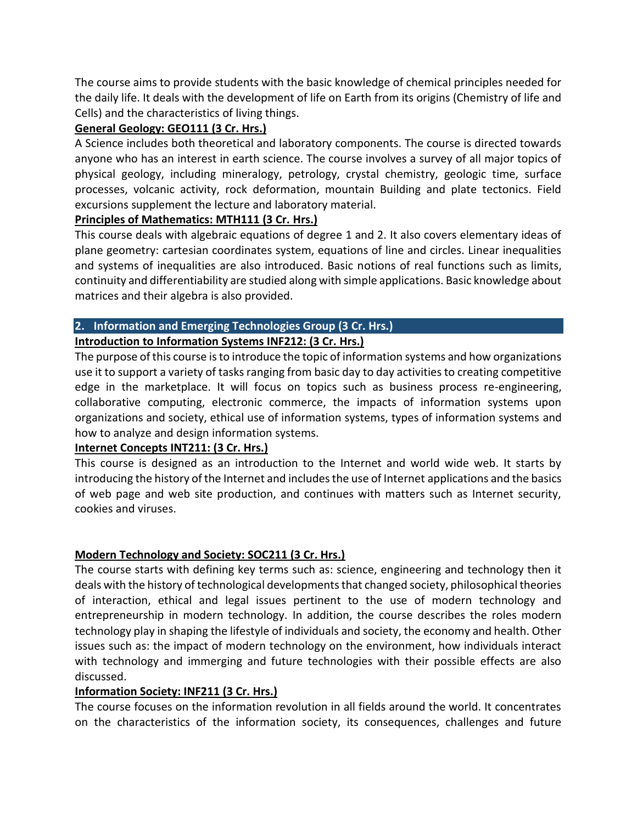The course aims to provide students with the basic knowledge of chemical principles needed for the daily life. It deals with the development of life on Earth from its origins (Chemistry of life and Cells) and the characteristics of living things.

#### **General Geology: GEO111 (3 Cr. Hrs.)**

A Science includes both theoretical and laboratory components. The course is directed towards anyone who has an interest in earth science. The course involves a survey of all major topics of physical geology, including mineralogy, petrology, crystal chemistry, geologic time, surface processes, volcanic activity, rock deformation, mountain Building and plate tectonics. Field excursions supplement the lecture and laboratory material.

#### **Principles of Mathematics: MTH111 (3 Cr. Hrs.)**

This course deals with algebraic equations of degree 1 and 2. It also covers elementary ideas of plane geometry: cartesian coordinates system, equations of line and circles. Linear inequalities and systems of inequalities are also introduced. Basic notions of real functions such as limits, continuity and differentiability are studied along with simple applications. Basic knowledge about matrices and their algebra is also provided.

#### **2. Information and Emerging Technologies Group (3 Cr. Hrs.)**

#### **Introduction to Information Systems INF212: (3 Cr. Hrs.)**

The purpose of this course is to introduce the topic of information systems and how organizations use it to support a variety of tasks ranging from basic day to day activities to creating competitive edge in the marketplace. It will focus on topics such as business process re-engineering, collaborative computing, electronic commerce, the impacts of information systems upon organizations and society, ethical use of information systems, types of information systems and how to analyze and design information systems.

#### **Internet Concepts INT211: (3 Cr. Hrs.)**

This course is designed as an introduction to the Internet and world wide web. It starts by introducing the history of the Internet and includes the use of Internet applications and the basics of web page and web site production, and continues with matters such as Internet security, cookies and viruses.

#### **Modern Technology and Society: SOC211 (3 Cr. Hrs.)**

The course starts with defining key terms such as: science, engineering and technology then it deals with the history of technological developments that changed society, philosophical theories of interaction, ethical and legal issues pertinent to the use of modern technology and entrepreneurship in modern technology. In addition, the course describes the roles modern technology play in shaping the lifestyle of individuals and society, the economy and health. Other issues such as: the impact of modern technology on the environment, how individuals interact with technology and immerging and future technologies with their possible effects are also discussed.

#### **Information Society: INF211 (3 Cr. Hrs.)**

The course focuses on the information revolution in all fields around the world. It concentrates on the characteristics of the information society, its consequences, challenges and future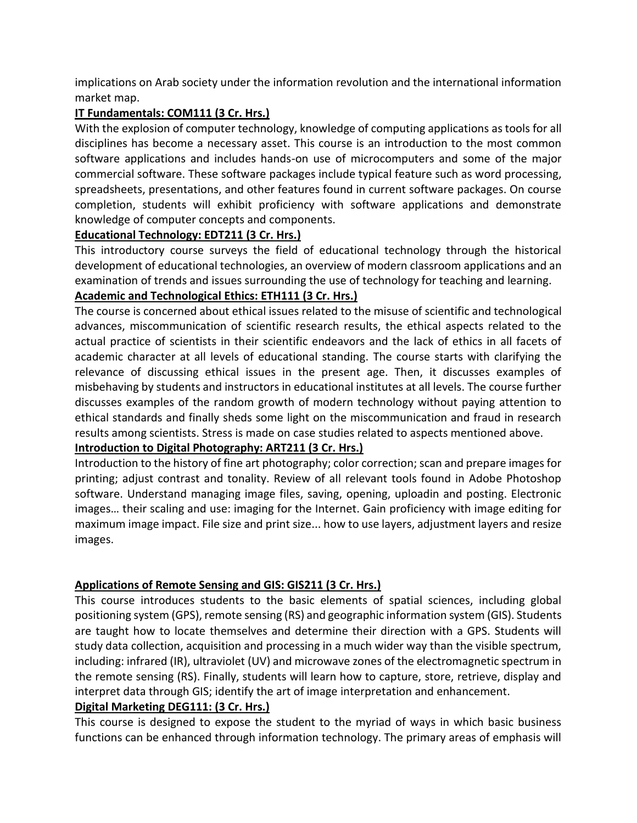implications on Arab society under the information revolution and the international information market map.

#### **IT Fundamentals: COM111 (3 Cr. Hrs.)**

With the explosion of computer technology, knowledge of computing applications as tools for all disciplines has become a necessary asset. This course is an introduction to the most common software applications and includes hands-on use of microcomputers and some of the major commercial software. These software packages include typical feature such as word processing, spreadsheets, presentations, and other features found in current software packages. On course completion, students will exhibit proficiency with software applications and demonstrate knowledge of computer concepts and components.

#### **Educational Technology: EDT211 (3 Cr. Hrs.)**

This introductory course surveys the field of educational technology through the historical development of educational technologies, an overview of modern classroom applications and an examination of trends and issues surrounding the use of technology for teaching and learning.

#### **Academic and Technological Ethics: ETH111 (3 Cr. Hrs.)**

The course is concerned about ethical issues related to the misuse of scientific and technological advances, miscommunication of scientific research results, the ethical aspects related to the actual practice of scientists in their scientific endeavors and the lack of ethics in all facets of academic character at all levels of educational standing. The course starts with clarifying the relevance of discussing ethical issues in the present age. Then, it discusses examples of misbehaving by students and instructors in educational institutes at all levels. The course further discusses examples of the random growth of modern technology without paying attention to ethical standards and finally sheds some light on the miscommunication and fraud in research results among scientists. Stress is made on case studies related to aspects mentioned above.

#### **Introduction to Digital Photography: ART211 (3 Cr. Hrs.)**

Introduction to the history of fine art photography; color correction; scan and prepare images for printing; adjust contrast and tonality. Review of all relevant tools found in Adobe Photoshop software. Understand managing image files, saving, opening, uploadin and posting. Electronic images… their scaling and use: imaging for the Internet. Gain proficiency with image editing for maximum image impact. File size and print size... how to use layers, adjustment layers and resize images.

#### **Applications of Remote Sensing and GIS: GIS211 (3 Cr. Hrs.)**

This course introduces students to the basic elements of spatial sciences, including global positioning system (GPS), remote sensing (RS) and geographic information system (GIS). Students are taught how to locate themselves and determine their direction with a GPS. Students will study data collection, acquisition and processing in a much wider way than the visible spectrum, including: infrared (IR), ultraviolet (UV) and microwave zones of the electromagnetic spectrum in the remote sensing (RS). Finally, students will learn how to capture, store, retrieve, display and interpret data through GIS; identify the art of image interpretation and enhancement.

#### **Digital Marketing DEG111: (3 Cr. Hrs.)**

This course is designed to expose the student to the myriad of ways in which basic business functions can be enhanced through information technology. The primary areas of emphasis will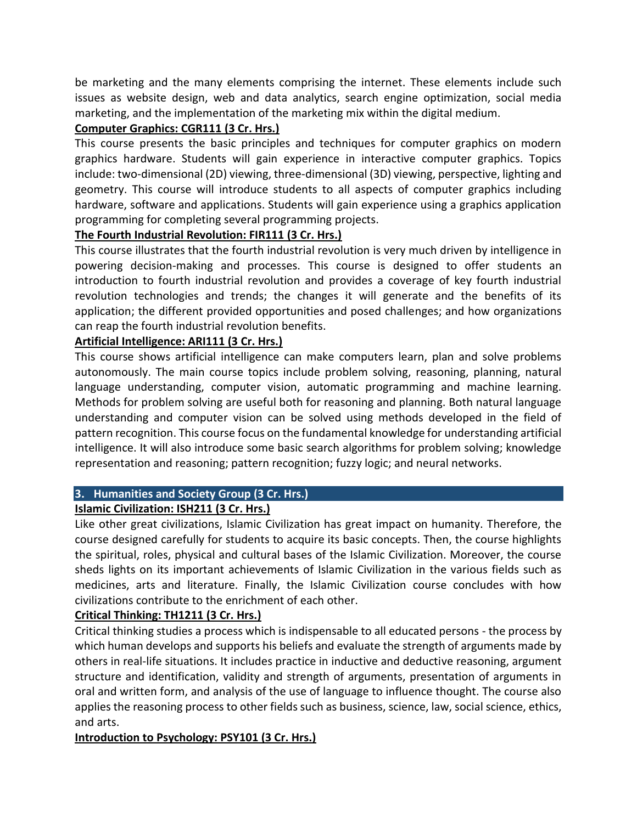be marketing and the many elements comprising the internet. These elements include such issues as website design, web and data analytics, search engine optimization, social media marketing, and the implementation of the marketing mix within the digital medium.

#### **Computer Graphics: CGR111 (3 Cr. Hrs.)**

This course presents the basic principles and techniques for computer graphics on modern graphics hardware. Students will gain experience in interactive computer graphics. Topics include: two-dimensional (2D) viewing, three-dimensional (3D) viewing, perspective, lighting and geometry. This course will introduce students to all aspects of computer graphics including hardware, software and applications. Students will gain experience using a graphics application programming for completing several programming projects.

#### **The Fourth Industrial Revolution: FIR111 (3 Cr. Hrs.)**

This course illustrates that the fourth industrial revolution is very much driven by intelligence in powering decision-making and processes. This course is designed to offer students an introduction to fourth industrial revolution and provides a coverage of key fourth industrial revolution technologies and trends; the changes it will generate and the benefits of its application; the different provided opportunities and posed challenges; and how organizations can reap the fourth industrial revolution benefits.

#### **Artificial Intelligence: ARI111 (3 Cr. Hrs.)**

This course shows artificial intelligence can make computers learn, plan and solve problems autonomously. The main course topics include problem solving, reasoning, planning, natural language understanding, computer vision, automatic programming and machine learning. Methods for problem solving are useful both for reasoning and planning. Both natural language understanding and computer vision can be solved using methods developed in the field of pattern recognition. This course focus on the fundamental knowledge for understanding artificial intelligence. It will also introduce some basic search algorithms for problem solving; knowledge representation and reasoning; pattern recognition; fuzzy logic; and neural networks.

#### **3. Humanities and Society Group (3 Cr. Hrs.)**

#### **Islamic Civilization: ISH211 (3 Cr. Hrs.)**

Like other great civilizations, Islamic Civilization has great impact on humanity. Therefore, the course designed carefully for students to acquire its basic concepts. Then, the course highlights the spiritual, roles, physical and cultural bases of the Islamic Civilization. Moreover, the course sheds lights on its important achievements of Islamic Civilization in the various fields such as medicines, arts and literature. Finally, the Islamic Civilization course concludes with how civilizations contribute to the enrichment of each other.

#### **Critical Thinking: TH1211 (3 Cr. Hrs.)**

Critical thinking studies a process which is indispensable to all educated persons - the process by which human develops and supports his beliefs and evaluate the strength of arguments made by others in real-life situations. It includes practice in inductive and deductive reasoning, argument structure and identification, validity and strength of arguments, presentation of arguments in oral and written form, and analysis of the use of language to influence thought. The course also applies the reasoning process to other fields such as business, science, law, social science, ethics, and arts.

#### **Introduction to Psychology: PSY101 (3 Cr. Hrs.)**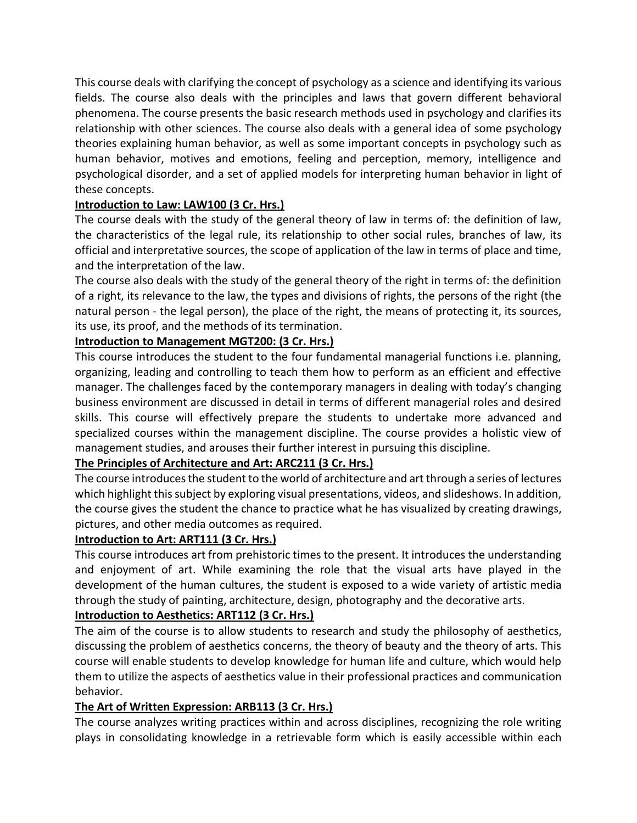This course deals with clarifying the concept of psychology as a science and identifying its various fields. The course also deals with the principles and laws that govern different behavioral phenomena. The course presents the basic research methods used in psychology and clarifies its relationship with other sciences. The course also deals with a general idea of some psychology theories explaining human behavior, as well as some important concepts in psychology such as human behavior, motives and emotions, feeling and perception, memory, intelligence and psychological disorder, and a set of applied models for interpreting human behavior in light of these concepts.

#### **Introduction to Law: LAW100 (3 Cr. Hrs.)**

The course deals with the study of the general theory of law in terms of: the definition of law, the characteristics of the legal rule, its relationship to other social rules, branches of law, its official and interpretative sources, the scope of application of the law in terms of place and time, and the interpretation of the law.

The course also deals with the study of the general theory of the right in terms of: the definition of a right, its relevance to the law, the types and divisions of rights, the persons of the right (the natural person - the legal person), the place of the right, the means of protecting it, its sources, its use, its proof, and the methods of its termination.

#### **Introduction to Management MGT200: (3 Cr. Hrs.)**

This course introduces the student to the four fundamental managerial functions i.e. planning, organizing, leading and controlling to teach them how to perform as an efficient and effective manager. The challenges faced by the contemporary managers in dealing with today's changing business environment are discussed in detail in terms of different managerial roles and desired skills. This course will effectively prepare the students to undertake more advanced and specialized courses within the management discipline. The course provides a holistic view of management studies, and arouses their further interest in pursuing this discipline.

#### **The Principles of Architecture and Art: ARC211 (3 Cr. Hrs.)**

The course introduces the student to the world of architecture and art through a series of lectures which highlight this subject by exploring visual presentations, videos, and slideshows. In addition, the course gives the student the chance to practice what he has visualized by creating drawings, pictures, and other media outcomes as required.

#### **Introduction to Art: ART111 (3 Cr. Hrs.)**

This course introduces art from prehistoric times to the present. It introduces the understanding and enjoyment of art. While examining the role that the visual arts have played in the development of the human cultures, the student is exposed to a wide variety of artistic media through the study of painting, architecture, design, photography and the decorative arts.

#### **Introduction to Aesthetics: ART112 (3 Cr. Hrs.)**

The aim of the course is to allow students to research and study the philosophy of aesthetics, discussing the problem of aesthetics concerns, the theory of beauty and the theory of arts. This course will enable students to develop knowledge for human life and culture, which would help them to utilize the aspects of aesthetics value in their professional practices and communication behavior.

#### **The Art of Written Expression: ARB113 (3 Cr. Hrs.)**

The course analyzes writing practices within and across disciplines, recognizing the role writing plays in consolidating knowledge in a retrievable form which is easily accessible within each